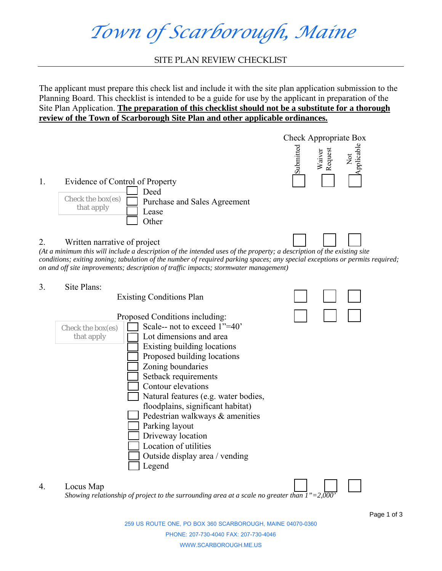*Town of Scarborough, Maine* 

SITE PLAN REVIEW CHECKLIST

The applicant must prepare this check list and include it with the site plan application submission to the Planning Board. This checklist is intended to be a guide for use by the applicant in preparation of the Site Plan Application. **The preparation of this checklist should not be a substitute for a thorough review of the Town of Scarborough Site Plan and other applicable ordinances.**



259 US ROUTE ONE, PO BOX 360 SCARBOROUGH, MAINE 04070-0360 PHONE: 207-730-4040 FAX: 207-730-4046 WWW.SCARBOROUGH.ME.US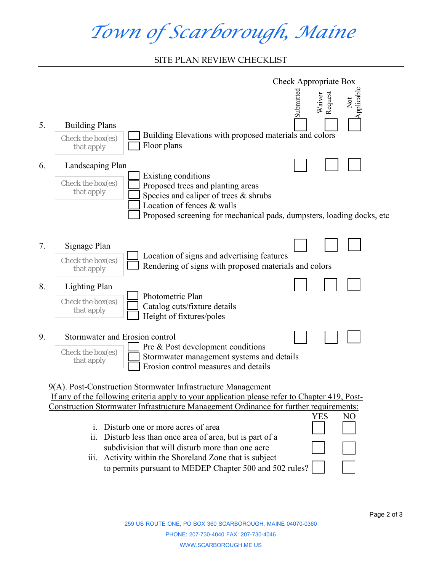## *Town of Scarborough, Maine*

## SITE PLAN REVIEW CHECKLIST